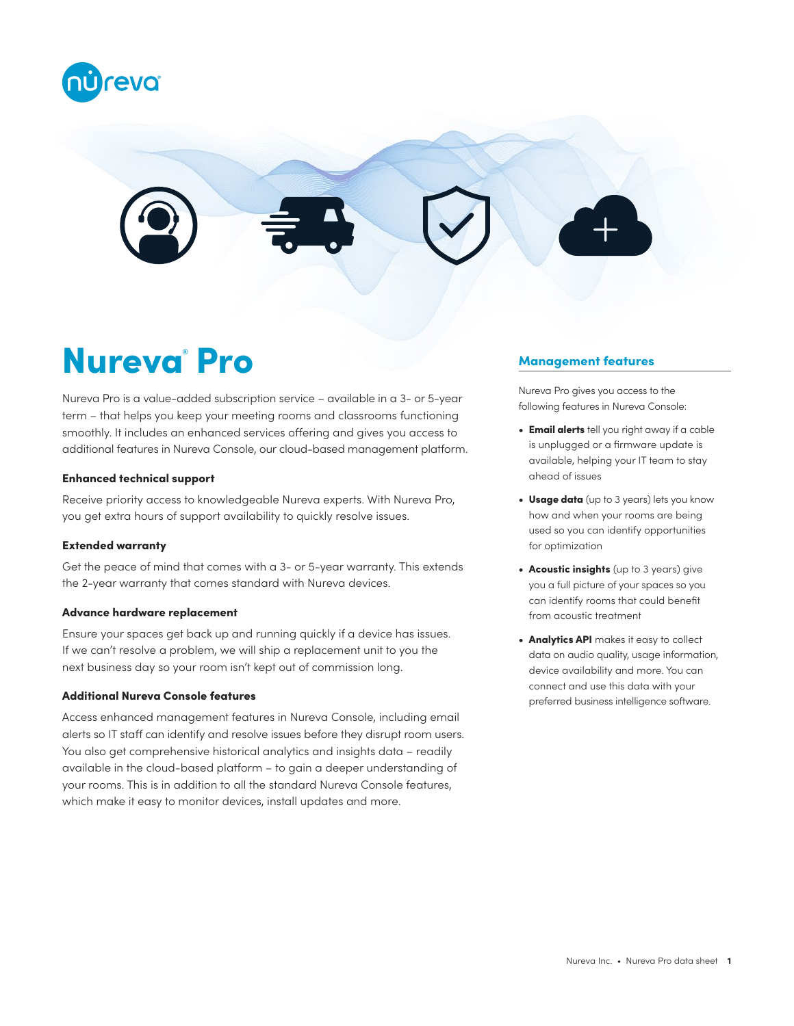



# Nureva<sup>®</sup> Pro

Nureva Pro is a value-added subscription service – available in a 3- or 5-year term – that helps you keep your meeting rooms and classrooms functioning smoothly. It includes an enhanced services offering and gives you access to additional features in Nureva Console, our cloud-based management platform.

### Enhanced technical support

Receive priority access to knowledgeable Nureva experts. With Nureva Pro, you get extra hours of support availability to quickly resolve issues.

#### Extended warranty

Get the peace of mind that comes with a 3- or 5-year warranty. This extends the 2-year warranty that comes standard with Nureva devices.

## Advance hardware replacement

Ensure your spaces get back up and running quickly if a device has issues. If we can't resolve a problem, we will ship a replacement unit to you the next business day so your room isn't kept out of commission long.

# Additional Nureva Console features

Access enhanced management features in Nureva Console, including email alerts so IT staff can identify and resolve issues before they disrupt room users. You also get comprehensive historical analytics and insights data – readily available in the cloud-based platform – to gain a deeper understanding of your rooms. This is in addition to all the standard Nureva Console features, which make it easy to monitor devices, install updates and more.

## Management features

Nureva Pro gives you access to the following features in Nureva Console:

- Email alerts tell you right away if a cable is unplugged or a firmware update is available, helping your IT team to stay ahead of issues
- Usage data (up to 3 years) lets you know how and when your rooms are being used so you can identify opportunities for optimization
- Acoustic insights (up to 3 years) give you a full picture of your spaces so you can identify rooms that could benefit from acoustic treatment
- Analytics API makes it easy to collect data on audio quality, usage information, device availability and more. You can connect and use this data with your preferred business intelligence software.